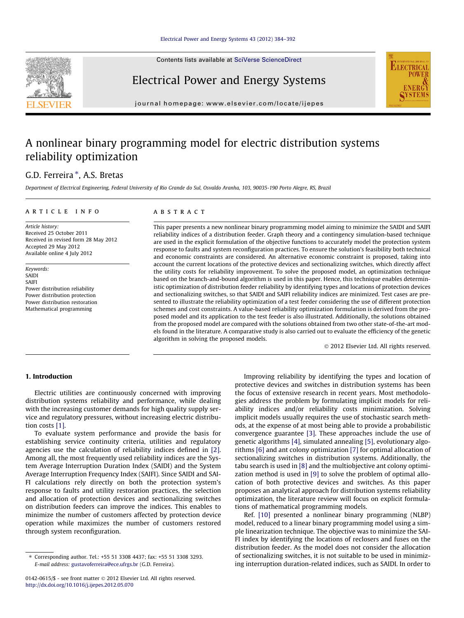Contents lists available at [SciVerse ScienceDirect](http://www.sciencedirect.com/science/journal/01420615)



## Electrical Power and Energy Systems

journal homepage: [www.elsevier.com/locate/ijepes](http://www.elsevier.com/locate/ijepes)

## A nonlinear binary programming model for electric distribution systems reliability optimization

### G.D. Ferreira \*, A.S. Bretas

Department of Electrical Engineering, Federal University of Rio Grande do Sul, Osvaldo Aranha, 103, 90035-190 Porto Alegre, RS, Brazil

#### article info

Article history: Received 25 October 2011 Received in revised form 28 May 2012 Accepted 29 May 2012 Available online 4 July 2012

Keywords: SAIDI SAIFI Power distribution reliability Power distribution protection Power distribution restoration Mathematical programming

#### **ABSTRACT**

This paper presents a new nonlinear binary programming model aiming to minimize the SAIDI and SAIFI reliability indices of a distribution feeder. Graph theory and a contingency simulation-based technique are used in the explicit formulation of the objective functions to accurately model the protection system response to faults and system reconfiguration practices. To ensure the solution's feasibility both technical and economic constraints are considered. An alternative economic constraint is proposed, taking into account the current locations of the protective devices and sectionalizing switches, which directly affect the utility costs for reliability improvement. To solve the proposed model, an optimization technique based on the branch-and-bound algorithm is used in this paper. Hence, this technique enables deterministic optimization of distribution feeder reliability by identifying types and locations of protection devices and sectionalizing switches, so that SAIDI and SAIFI reliability indices are minimized. Test cases are presented to illustrate the reliability optimization of a test feeder considering the use of different protection schemes and cost constraints. A value-based reliability optimization formulation is derived from the proposed model and its application to the test feeder is also illustrated. Additionally, the solutions obtained from the proposed model are compared with the solutions obtained from two other state-of-the-art models found in the literature. A comparative study is also carried out to evaluate the efficiency of the genetic algorithm in solving the proposed models.

- 2012 Elsevier Ltd. All rights reserved.

**ELECTRICA** 

#### 1. Introduction

Electric utilities are continuously concerned with improving distribution systems reliability and performance, while dealing with the increasing customer demands for high quality supply service and regulatory pressures, without increasing electric distribution costs [\[1\].](#page--1-0)

To evaluate system performance and provide the basis for establishing service continuity criteria, utilities and regulatory agencies use the calculation of reliability indices defined in [\[2\].](#page--1-0) Among all, the most frequently used reliability indices are the System Average Interruption Duration Index (SAIDI) and the System Average Interruption Frequency Index (SAIFI). Since SAIDI and SAI-FI calculations rely directly on both the protection system's response to faults and utility restoration practices, the selection and allocation of protection devices and sectionalizing switches on distribution feeders can improve the indices. This enables to minimize the number of customers affected by protection device operation while maximizes the number of customers restored through system reconfiguration.

Improving reliability by identifying the types and location of protective devices and switches in distribution systems has been the focus of extensive research in recent years. Most methodologies address the problem by formulating implicit models for reliability indices and/or reliability costs minimization. Solving implicit models usually requires the use of stochastic search methods, at the expense of at most being able to provide a probabilistic convergence guarantee [\[3\].](#page--1-0) These approaches include the use of genetic algorithms [\[4\]](#page--1-0), simulated annealing [\[5\]](#page--1-0), evolutionary algorithms [\[6\]](#page--1-0) and ant colony optimization [\[7\]](#page--1-0) for optimal allocation of sectionalizing switches in distribution systems. Additionally, the tabu search is used in [\[8\]](#page--1-0) and the multiobjective ant colony optimization method is used in [\[9\]](#page--1-0) to solve the problem of optimal allocation of both protective devices and switches. As this paper proposes an analytical approach for distribution systems reliability optimization, the literature review will focus on explicit formulations of mathematical programming models.

Ref. [\[10\]](#page--1-0) presented a nonlinear binary programming (NLBP) model, reduced to a linear binary programming model using a simple linearization technique. The objective was to minimize the SAI-FI index by identifying the locations of reclosers and fuses on the distribution feeder. As the model does not consider the allocation of sectionalizing switches, it is not suitable to be used in minimizing interruption duration-related indices, such as SAIDI. In order to

<sup>⇑</sup> Corresponding author. Tel.: +55 51 3308 4437; fax: +55 51 3308 3293. E-mail address: [gustavoferreira@ece.ufrgs.br](mailto:gustavoferreira@ece.ufrgs.br) (G.D. Ferreira).

<sup>0142-0615/\$ -</sup> see front matter © 2012 Elsevier Ltd. All rights reserved. <http://dx.doi.org/10.1016/j.ijepes.2012.05.070>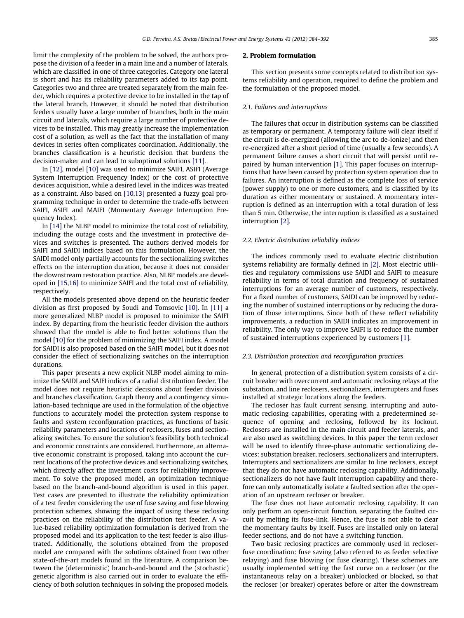limit the complexity of the problem to be solved, the authors propose the division of a feeder in a main line and a number of laterals, which are classified in one of three categories. Category one lateral is short and has its reliability parameters added to its tap point. Categories two and three are treated separately from the main feeder, which requires a protective device to be installed in the tap of the lateral branch. However, it should be noted that distribution feeders usually have a large number of branches, both in the main circuit and laterals, which require a large number of protective devices to be installed. This may greatly increase the implementation cost of a solution, as well as the fact that the installation of many devices in series often complicates coordination. Additionally, the branches classification is a heuristic decision that burdens the decision-maker and can lead to suboptimal solutions [\[11\].](#page--1-0)

In [\[12\],](#page--1-0) model [\[10\]](#page--1-0) was used to minimize SAIFI, ASIFI (Average System Interruption Frequency Index) or the cost of protective devices acquisition, while a desired level in the indices was treated as a constraint. Also based on [\[10,13\]](#page--1-0) presented a fuzzy goal programming technique in order to determine the trade-offs between SAIFI, ASIFI and MAIFI (Momentary Average Interruption Frequency Index).

In [\[14\]](#page--1-0) the NLBP model to minimize the total cost of reliability, including the outage costs and the investment in protective devices and switches is presented. The authors derived models for SAIFI and SAIDI indices based on this formulation. However, the SAIDI model only partially accounts for the sectionalizing switches effects on the interruption duration, because it does not consider the downstream restoration practice. Also, NLBP models are developed in [\[15,16\]](#page--1-0) to minimize SAIFI and the total cost of reliability, respectively.

All the models presented above depend on the heuristic feeder division as first proposed by Soudi and Tomsovic [\[10\].](#page--1-0) In [\[11\]](#page--1-0) a more generalized NLBP model is proposed to minimize the SAIFI index. By departing from the heuristic feeder division the authors showed that the model is able to find better solutions than the model [\[10\]](#page--1-0) for the problem of minimizing the SAIFI index. A model for SAIDI is also proposed based on the SAIFI model, but it does not consider the effect of sectionalizing switches on the interruption durations.

This paper presents a new explicit NLBP model aiming to minimize the SAIDI and SAIFI indices of a radial distribution feeder. The model does not require heuristic decisions about feeder division and branches classification. Graph theory and a contingency simulation-based technique are used in the formulation of the objective functions to accurately model the protection system response to faults and system reconfiguration practices, as functions of basic reliability parameters and locations of reclosers, fuses and sectionalizing switches. To ensure the solution's feasibility both technical and economic constraints are considered. Furthermore, an alternative economic constraint is proposed, taking into account the current locations of the protective devices and sectionalizing switches, which directly affect the investment costs for reliability improvement. To solve the proposed model, an optimization technique based on the branch-and-bound algorithm is used in this paper. Test cases are presented to illustrate the reliability optimization of a test feeder considering the use of fuse saving and fuse blowing protection schemes, showing the impact of using these reclosing practices on the reliability of the distribution test feeder. A value-based reliability optimization formulation is derived from the proposed model and its application to the test feeder is also illustrated. Additionally, the solutions obtained from the proposed model are compared with the solutions obtained from two other state-of-the-art models found in the literature. A comparison between the (deterministic) branch-and-bound and the (stochastic) genetic algorithm is also carried out in order to evaluate the efficiency of both solution techniques in solving the proposed models.

#### 2. Problem formulation

This section presents some concepts related to distribution systems reliability and operation, required to define the problem and the formulation of the proposed model.

#### 2.1. Failures and interruptions

The failures that occur in distribution systems can be classified as temporary or permanent. A temporary failure will clear itself if the circuit is de-energized (allowing the arc to de-ionize) and then re-energized after a short period of time (usually a few seconds). A permanent failure causes a short circuit that will persist until repaired by human intervention [\[1\]](#page--1-0). This paper focuses on interruptions that have been caused by protection system operation due to failures. An interruption is defined as the complete loss of service (power supply) to one or more customers, and is classified by its duration as either momentary or sustained. A momentary interruption is defined as an interruption with a total duration of less than 5 min. Otherwise, the interruption is classified as a sustained interruption [\[2\]](#page--1-0).

#### 2.2. Electric distribution reliability indices

The indices commonly used to evaluate electric distribution systems reliability are formally defined in [\[2\]](#page--1-0). Most electric utilities and regulatory commissions use SAIDI and SAIFI to measure reliability in terms of total duration and frequency of sustained interruptions for an average number of customers, respectively. For a fixed number of customers, SAIDI can be improved by reducing the number of sustained interruptions or by reducing the duration of those interruptions. Since both of these reflect reliability improvements, a reduction in SAIDI indicates an improvement in reliability. The only way to improve SAIFI is to reduce the number of sustained interruptions experienced by customers [\[1\]](#page--1-0).

#### 2.3. Distribution protection and reconfiguration practices

In general, protection of a distribution system consists of a circuit breaker with overcurrent and automatic reclosing relays at the substation, and line reclosers, sectionalizers, interrupters and fuses installed at strategic locations along the feeders.

The recloser has fault current sensing, interrupting and automatic reclosing capabilities, operating with a predetermined sequence of opening and reclosing, followed by its lockout. Reclosers are installed in the main circuit and feeder laterals, and are also used as switching devices. In this paper the term recloser will be used to identify three-phase automatic sectionalizing devices: substation breaker, reclosers, sectionalizers and interrupters. Interrupters and sectionalizers are similar to line reclosers, except that they do not have automatic reclosing capability. Additionally, sectionalizers do not have fault interruption capability and therefore can only automatically isolate a faulted section after the operation of an upstream recloser or breaker.

The fuse does not have automatic reclosing capability. It can only perform an open-circuit function, separating the faulted circuit by melting its fuse-link. Hence, the fuse is not able to clear the momentary faults by itself. Fuses are installed only on lateral feeder sections, and do not have a switching function.

Two basic reclosing practices are commonly used in recloserfuse coordination: fuse saving (also referred to as feeder selective relaying) and fuse blowing (or fuse clearing). These schemes are usually implemented setting the fast curve on a recloser (or the instantaneous relay on a breaker) unblocked or blocked, so that the recloser (or breaker) operates before or after the downstream